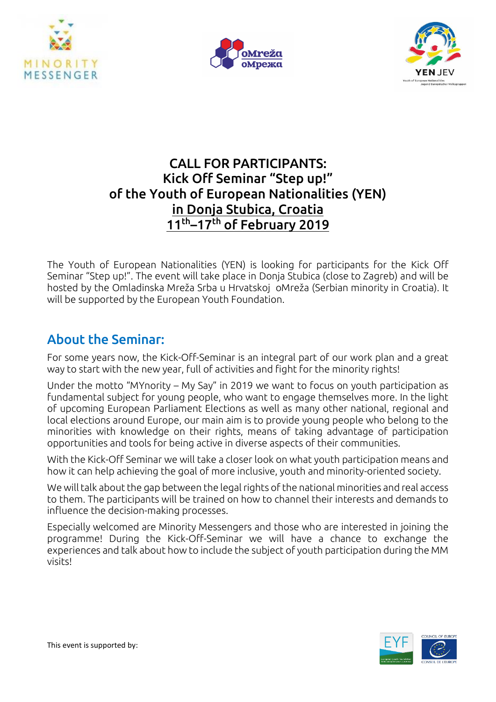





## CALL FOR PARTICIPANTS: Kick Off Seminar "Step up!" of the Youth of European Nationalities (YEN) in Donja Stubica, Croatia 11<sup>th</sup>–17<sup>th</sup> of February 2019

The Youth of European Nationalities (YEN) is looking for participants for the Kick Off Seminar "Step up!". The event will take place in Donja Stubica (close to Zagreb) and will be hosted by the Omladinska Mreža Srba u Hrvatskoj oMreža (Serbian minority in Croatia). It will be supported by the European Youth Foundation.

## About the Seminar:

For some years now, the Kick-Off-Seminar is an integral part of our work plan and a great way to start with the new year, full of activities and fight for the minority rights!

Under the motto "MYnority – My Say" in 2019 we want to focus on youth participation as fundamental subject for young people, who want to engage themselves more. In the light of upcoming European Parliament Elections as well as many other national, regional and local elections around Europe, our main aim is to provide young people who belong to the minorities with knowledge on their rights, means of taking advantage of participation opportunities and tools for being active in diverse aspects of their communities.

With the Kick-Off Seminar we will take a closer look on what youth participation means and how it can help achieving the goal of more inclusive, youth and minority-oriented society.

We will talk about the gap between the legal rights of the national minorities and real access to them. The participants will be trained on how to channel their interests and demands to influence the decision-making processes.

Especially welcomed are Minority Messengers and those who are interested in joining the programme! During the Kick-Off-Seminar we will have a chance to exchange the experiences and talk about how to include the subject of youth participation during the MM visits!

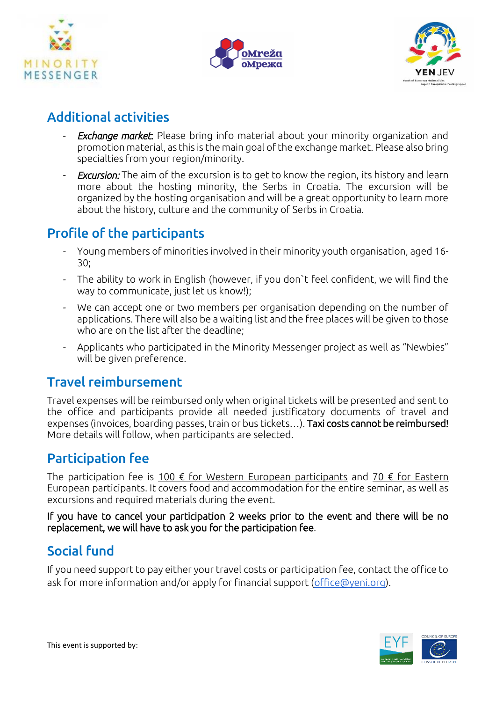





## Additional activities

- **Exchange market:** Please bring info material about your minority organization and promotion material, as this is the main goal of the exchange market. Please also bring specialties from your region/minority.
- *Excursion:* The aim of the excursion is to get to know the region, its history and learn more about the hosting minority, the Serbs in Croatia. The excursion will be organized by the hosting organisation and will be a great opportunity to learn more about the history, culture and the community of Serbs in Croatia.

## Profile of the participants

- Young members of minorities involved in their minority youth organisation, aged 16- 30;
- The ability to work in English (however, if you don`t feel confident, we will find the way to communicate, just let us know!);
- We can accept one or two members per organisation depending on the number of applications. There will also be a waiting list and the free places will be given to those who are on the list after the deadline;
- Applicants who participated in the Minority Messenger project as well as "Newbies" will be given preference.

## Travel reimbursement

Travel expenses will be reimbursed only when original tickets will be presented and sent to the office and participants provide all needed justificatory documents of travel and expenses (invoices, boarding passes, train or bus tickets…). Taxi costs cannot be reimbursed! More details will follow, when participants are selected.

# Participation fee

The participation fee is 100  $\epsilon$  for Western European participants and 70  $\epsilon$  for Eastern European participants. It covers food and accommodation for the entire seminar, as well as excursions and required materials during the event.

If you have to cancel your participation 2 weeks prior to the event and there will be no replacement, we will have to ask you for the participation fee.

# Social fund

If you need support to pay either your travel costs or participation fee, contact the office to ask for more information and/or apply for financial support [\(office@yeni.org\)](mailto:office@yeni.org).